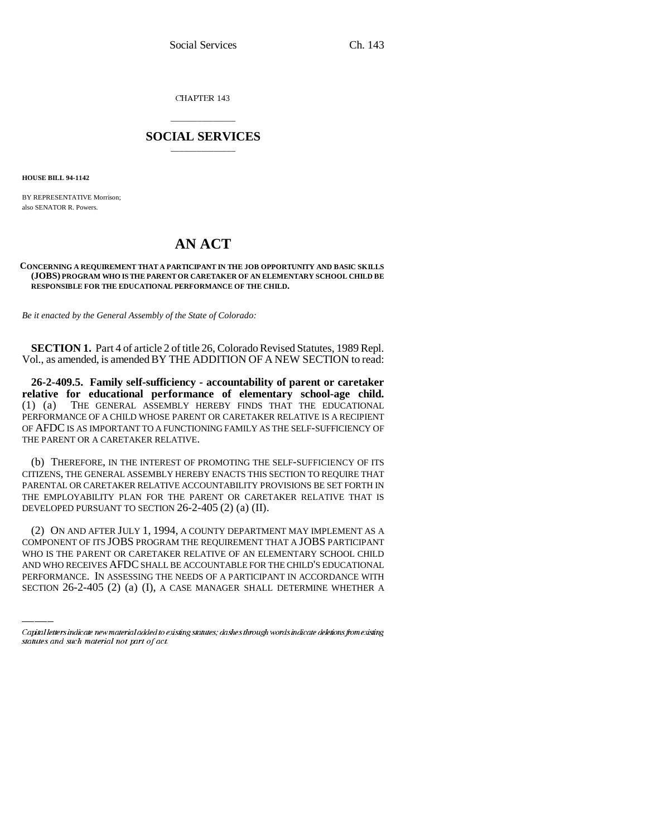CHAPTER 143

## \_\_\_\_\_\_\_\_\_\_\_\_\_\_\_ **SOCIAL SERVICES** \_\_\_\_\_\_\_\_\_\_\_\_\_\_\_

**HOUSE BILL 94-1142**

BY REPRESENTATIVE Morrison; also SENATOR R. Powers.

## **AN ACT**

## **CONCERNING A REQUIREMENT THAT A PARTICIPANT IN THE JOB OPPORTUNITY AND BASIC SKILLS (JOBS) PROGRAM WHO IS THE PARENT OR CARETAKER OF AN ELEMENTARY SCHOOL CHILD BE RESPONSIBLE FOR THE EDUCATIONAL PERFORMANCE OF THE CHILD.**

*Be it enacted by the General Assembly of the State of Colorado:*

**SECTION 1.** Part 4 of article 2 of title 26, Colorado Revised Statutes, 1989 Repl. Vol., as amended, is amended BY THE ADDITION OF A NEW SECTION to read:

**26-2-409.5. Family self-sufficiency - accountability of parent or caretaker relative for educational performance of elementary school-age child.** (1) (a) THE GENERAL ASSEMBLY HEREBY FINDS THAT THE EDUCATIONAL PERFORMANCE OF A CHILD WHOSE PARENT OR CARETAKER RELATIVE IS A RECIPIENT OF AFDC IS AS IMPORTANT TO A FUNCTIONING FAMILY AS THE SELF-SUFFICIENCY OF THE PARENT OR A CARETAKER RELATIVE.

(b) THEREFORE, IN THE INTEREST OF PROMOTING THE SELF-SUFFICIENCY OF ITS CITIZENS, THE GENERAL ASSEMBLY HEREBY ENACTS THIS SECTION TO REQUIRE THAT PARENTAL OR CARETAKER RELATIVE ACCOUNTABILITY PROVISIONS BE SET FORTH IN THE EMPLOYABILITY PLAN FOR THE PARENT OR CARETAKER RELATIVE THAT IS DEVELOPED PURSUANT TO SECTION 26-2-405 (2) (a) (II).

COMPONENT OF ITS JOBS PROGRAM THE REQUIREMENT THAT A JOBS PARTICIPANT (2) ON AND AFTER JULY 1, 1994, A COUNTY DEPARTMENT MAY IMPLEMENT AS A WHO IS THE PARENT OR CARETAKER RELATIVE OF AN ELEMENTARY SCHOOL CHILD AND WHO RECEIVES AFDC SHALL BE ACCOUNTABLE FOR THE CHILD'S EDUCATIONAL PERFORMANCE. IN ASSESSING THE NEEDS OF A PARTICIPANT IN ACCORDANCE WITH SECTION 26-2-405 (2) (a) (I), A CASE MANAGER SHALL DETERMINE WHETHER A

Capital letters indicate new material added to existing statutes; dashes through words indicate deletions from existing statutes and such material not part of act.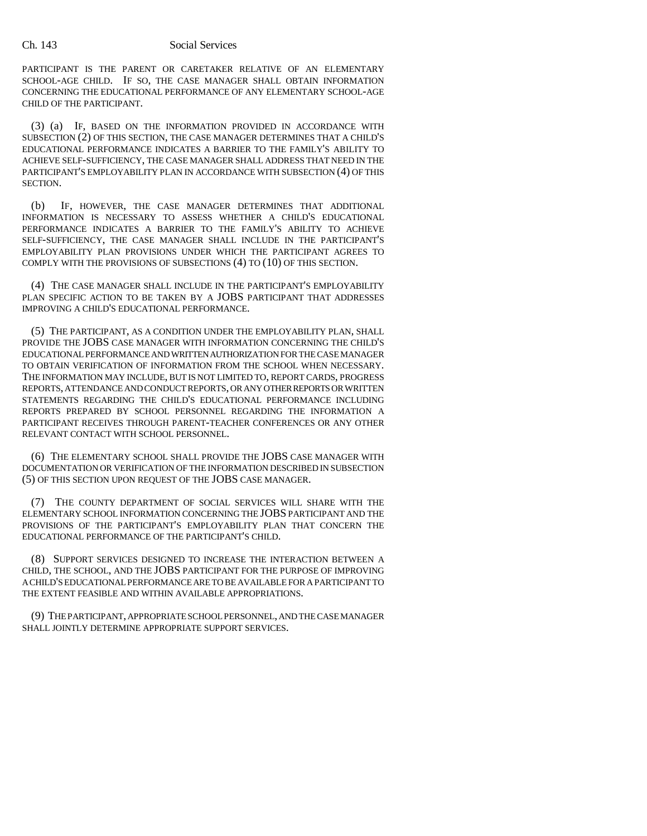PARTICIPANT IS THE PARENT OR CARETAKER RELATIVE OF AN ELEMENTARY SCHOOL-AGE CHILD. IF SO, THE CASE MANAGER SHALL OBTAIN INFORMATION CONCERNING THE EDUCATIONAL PERFORMANCE OF ANY ELEMENTARY SCHOOL-AGE CHILD OF THE PARTICIPANT.

(3) (a) IF, BASED ON THE INFORMATION PROVIDED IN ACCORDANCE WITH SUBSECTION (2) OF THIS SECTION, THE CASE MANAGER DETERMINES THAT A CHILD'S EDUCATIONAL PERFORMANCE INDICATES A BARRIER TO THE FAMILY'S ABILITY TO ACHIEVE SELF-SUFFICIENCY, THE CASE MANAGER SHALL ADDRESS THAT NEED IN THE PARTICIPANT'S EMPLOYABILITY PLAN IN ACCORDANCE WITH SUBSECTION (4) OF THIS SECTION.

(b) IF, HOWEVER, THE CASE MANAGER DETERMINES THAT ADDITIONAL INFORMATION IS NECESSARY TO ASSESS WHETHER A CHILD'S EDUCATIONAL PERFORMANCE INDICATES A BARRIER TO THE FAMILY'S ABILITY TO ACHIEVE SELF-SUFFICIENCY, THE CASE MANAGER SHALL INCLUDE IN THE PARTICIPANT'S EMPLOYABILITY PLAN PROVISIONS UNDER WHICH THE PARTICIPANT AGREES TO COMPLY WITH THE PROVISIONS OF SUBSECTIONS (4) TO (10) OF THIS SECTION.

(4) THE CASE MANAGER SHALL INCLUDE IN THE PARTICIPANT'S EMPLOYABILITY PLAN SPECIFIC ACTION TO BE TAKEN BY A JOBS PARTICIPANT THAT ADDRESSES IMPROVING A CHILD'S EDUCATIONAL PERFORMANCE.

(5) THE PARTICIPANT, AS A CONDITION UNDER THE EMPLOYABILITY PLAN, SHALL PROVIDE THE JOBS CASE MANAGER WITH INFORMATION CONCERNING THE CHILD'S EDUCATIONAL PERFORMANCE AND WRITTEN AUTHORIZATION FOR THE CASE MANAGER TO OBTAIN VERIFICATION OF INFORMATION FROM THE SCHOOL WHEN NECESSARY. THE INFORMATION MAY INCLUDE, BUT IS NOT LIMITED TO, REPORT CARDS, PROGRESS REPORTS, ATTENDANCE AND CONDUCT REPORTS, OR ANY OTHER REPORTS OR WRITTEN STATEMENTS REGARDING THE CHILD'S EDUCATIONAL PERFORMANCE INCLUDING REPORTS PREPARED BY SCHOOL PERSONNEL REGARDING THE INFORMATION A PARTICIPANT RECEIVES THROUGH PARENT-TEACHER CONFERENCES OR ANY OTHER RELEVANT CONTACT WITH SCHOOL PERSONNEL.

(6) THE ELEMENTARY SCHOOL SHALL PROVIDE THE JOBS CASE MANAGER WITH DOCUMENTATION OR VERIFICATION OF THE INFORMATION DESCRIBED IN SUBSECTION (5) OF THIS SECTION UPON REQUEST OF THE JOBS CASE MANAGER.

(7) THE COUNTY DEPARTMENT OF SOCIAL SERVICES WILL SHARE WITH THE ELEMENTARY SCHOOL INFORMATION CONCERNING THE JOBS PARTICIPANT AND THE PROVISIONS OF THE PARTICIPANT'S EMPLOYABILITY PLAN THAT CONCERN THE EDUCATIONAL PERFORMANCE OF THE PARTICIPANT'S CHILD.

(8) SUPPORT SERVICES DESIGNED TO INCREASE THE INTERACTION BETWEEN A CHILD, THE SCHOOL, AND THE JOBS PARTICIPANT FOR THE PURPOSE OF IMPROVING A CHILD'S EDUCATIONAL PERFORMANCE ARE TO BE AVAILABLE FOR A PARTICIPANT TO THE EXTENT FEASIBLE AND WITHIN AVAILABLE APPROPRIATIONS.

(9) THE PARTICIPANT, APPROPRIATE SCHOOL PERSONNEL, AND THE CASE MANAGER SHALL JOINTLY DETERMINE APPROPRIATE SUPPORT SERVICES.